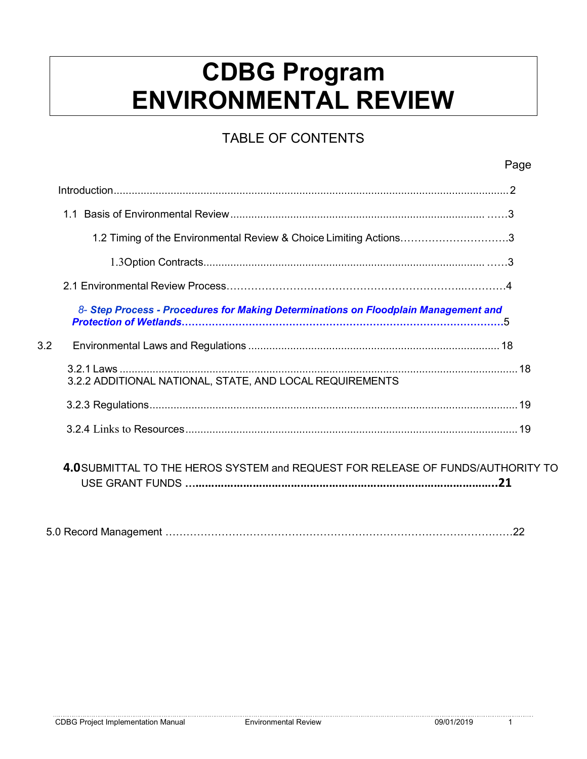# **CDBG Program ENVIRONMENTAL REVIEW**

### TABLE OF CONTENTS

|                  |                                                                                     | Page |
|------------------|-------------------------------------------------------------------------------------|------|
|                  |                                                                                     |      |
|                  |                                                                                     |      |
|                  | 1.2 Timing of the Environmental Review & Choice Limiting Actions3                   |      |
|                  |                                                                                     |      |
|                  |                                                                                     |      |
|                  | 8- Step Process - Procedures for Making Determinations on Floodplain Management and |      |
| 3.2 <sub>2</sub> |                                                                                     |      |
|                  | 3.2.2 ADDITIONAL NATIONAL, STATE, AND LOCAL REQUIREMENTS                            |      |
|                  |                                                                                     |      |
|                  |                                                                                     |      |
|                  | 4.0SUBMITTAL TO THE HEROS SYSTEM and REQUEST FOR RELEASE OF FUNDS/AUTHORITY TO      | .21  |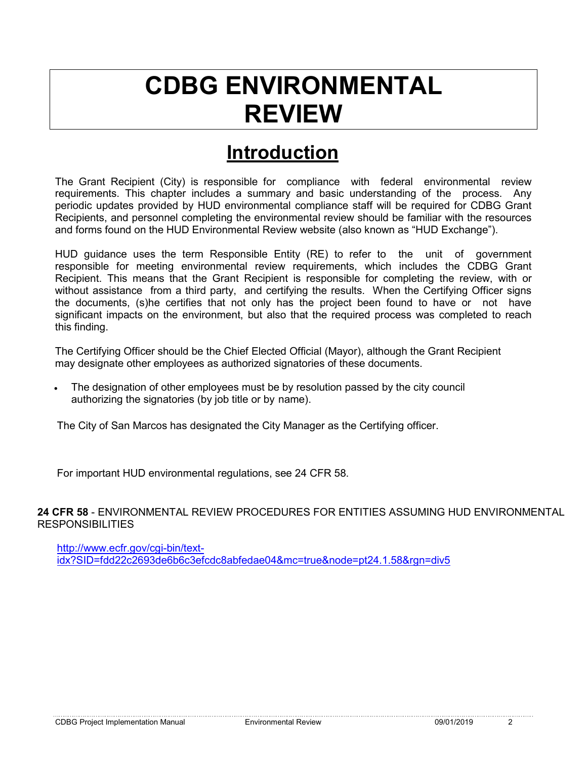# **CDBG ENVIRONMENTAL REVIEW**

### **Introduction**

The Grant Recipient (City) is responsible for compliance with federal environmental review requirements. This chapter includes a summary and basic understanding of the process. Any periodic updates provided by HUD environmental compliance staff will be required for CDBG Grant Recipients, and personnel completing the environmental review should be familiar with the resources and forms found on the HUD Environmental Review website (also known as "HUD Exchange").

HUD guidance uses the term Responsible Entity (RE) to refer to the unit of government responsible for meeting environmental review requirements, which includes the CDBG Grant Recipient. This means that the Grant Recipient is responsible for completing the review, with or without assistance from a third party, and certifying the results. When the Certifying Officer signs the documents, (s)he certifies that not only has the project been found to have or not have significant impacts on the environment, but also that the required process was completed to reach this finding.

The Certifying Officer should be the Chief Elected Official (Mayor), although the Grant Recipient may designate other employees as authorized signatories of these documents.

• The designation of other employees must be by resolution passed by the city council authorizing the signatories (by job title or by name).

The City of San Marcos has designated the City Manager as the Certifying officer.

For important HUD environmental regulations, see 24 CFR 58.

**24 CFR 58** - ENVIRONMENTAL REVIEW PROCEDURES FOR ENTITIES ASSUMING HUD ENVIRONMENTAL RESPONSIBILITIES

[http://www.ecfr.gov/cgi-bin/text](http://www.ecfr.gov/cgi-bin/text-idx?SID=fdd22c2693de6b6c3efcdc8abfedae04&mc=true&node=pt24.1.58&rgn=div5)[idx?SID=fdd22c2693de6b6c3efcdc8abfedae04&mc=true&node=pt24.1.58&rgn=div5](http://www.ecfr.gov/cgi-bin/text-idx?SID=fdd22c2693de6b6c3efcdc8abfedae04&mc=true&node=pt24.1.58&rgn=div5)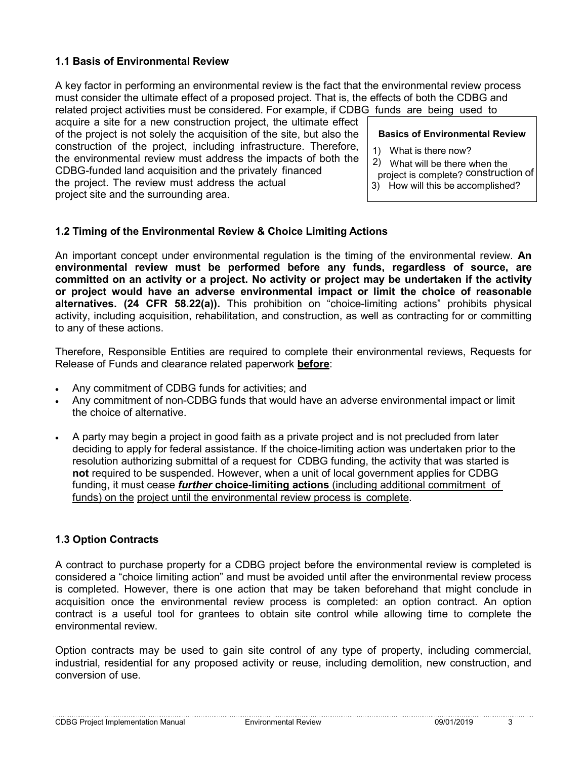#### **1.1 Basis of Environmental Review**

A key factor in performing an environmental review is the fact that the environmental review process must consider the ultimate effect of a proposed project. That is, the effects of both the CDBG and related project activities must be considered. For example, if CDBG funds are being used to

acquire a site for a new construction project, the ultimate effect of the project is not solely the acquisition of the site, but also the construction of the project, including infrastructure. Therefore, the environmental review must address the impacts of both the CDBG-funded land acquisition and the privately financed the project. The review must address the actual project site and the surrounding area.

#### **Basics of Environmental Review**

- 1) What is there now?
- 2) What will be there when the
- project is complete? construction of
- 3) How will this be accomplished?

#### **1.2 Timing of the Environmental Review & Choice Limiting Actions**

An important concept under environmental regulation is the timing of the environmental review. **An environmental review must be performed before any funds, regardless of source, are committed on an activity or a project. No activity or project may be undertaken if the activity or project would have an adverse environmental impact or limit the choice of reasonable alternatives. (24 CFR 58.22(a)).** This prohibition on "choice-limiting actions" prohibits physical activity, including acquisition, rehabilitation, and construction, as well as contracting for or committing to any of these actions.

Therefore, Responsible Entities are required to complete their environmental reviews, Requests for Release of Funds and clearance related paperwork **before**:

- Any commitment of CDBG funds for activities; and
- Any commitment of non-CDBG funds that would have an adverse environmental impact or limit the choice of alternative.
- A party may begin a project in good faith as a private project and is not precluded from later deciding to apply for federal assistance. If the choice-limiting action was undertaken prior to the resolution authorizing submittal of a request for CDBG funding, the activity that was started is **not** required to be suspended. However, when a unit of local government applies for CDBG funding, it must cease *further* **choice-limiting actions** (including additional commitment of funds) on the project until the environmental review process is complete.

#### **1.3 Option Contracts**

A contract to purchase property for a CDBG project before the environmental review is completed is considered a "choice limiting action" and must be avoided until after the environmental review process is completed. However, there is one action that may be taken beforehand that might conclude in acquisition once the environmental review process is completed: an option contract. An option contract is a useful tool for grantees to obtain site control while allowing time to complete the environmental review.

Option contracts may be used to gain site control of any type of property, including commercial, industrial, residential for any proposed activity or reuse, including demolition, new construction, and conversion of use.

CDBG Project Implementation Manual Environmental Review 09/01/2019 3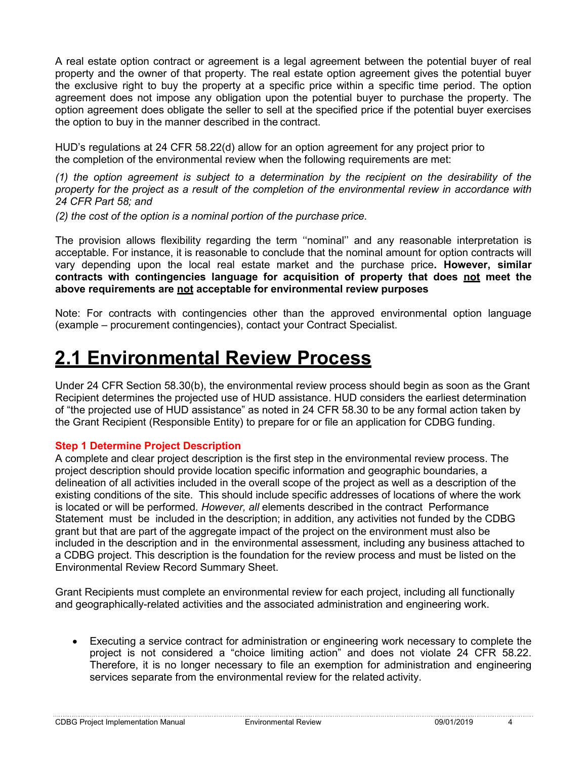A real estate option contract or agreement is a legal agreement between the potential buyer of real property and the owner of that property. The real estate option agreement gives the potential buyer the exclusive right to buy the property at a specific price within a specific time period. The option agreement does not impose any obligation upon the potential buyer to purchase the property. The option agreement does obligate the seller to sell at the specified price if the potential buyer exercises the option to buy in the manner described in the contract.

HUD's regulations at 24 CFR 58.22(d) allow for an option agreement for any project prior to the completion of the environmental review when the following requirements are met:

*(1) the option agreement is subject to a determination by the recipient on the desirability of the property for the project as a result of the completion of the environmental review in accordance with 24 CFR Part 58; and*

*(2) the cost of the option is a nominal portion of the purchase price.*

The provision allows flexibility regarding the term ''nominal'' and any reasonable interpretation is acceptable. For instance, it is reasonable to conclude that the nominal amount for option contracts will vary depending upon the local real estate market and the purchase price**. However, similar contracts with contingencies language for acquisition of property that does not meet the above requirements are not acceptable for environmental review purposes**

Note: For contracts with contingencies other than the approved environmental option language (example – procurement contingencies), contact your Contract Specialist.

## **2.1 Environmental Review Process**

Under 24 CFR Section 58.30(b), the environmental review process should begin as soon as the Grant Recipient determines the projected use of HUD assistance. HUD considers the earliest determination of "the projected use of HUD assistance" as noted in 24 CFR 58.30 to be any formal action taken by the Grant Recipient (Responsible Entity) to prepare for or file an application for CDBG funding.

#### **Step 1 Determine Project Description**

A complete and clear project description is the first step in the environmental review process. The project description should provide location specific information and geographic boundaries, a delineation of all activities included in the overall scope of the project as well as a description of the existing conditions of the site. This should include specific addresses of locations of where the work is located or will be performed. *However, all* elements described in the contract Performance Statement must be included in the description; in addition, any activities not funded by the CDBG grant but that are part of the aggregate impact of the project on the environment must also be included in the description and in the environmental assessment*,* including any business attached to a CDBG project. This description is the foundation for the review process and must be listed on the Environmental Review Record Summary Sheet.

Grant Recipients must complete an environmental review for each project, including all functionally and geographically-related activities and the associated administration and engineering work.

• Executing a service contract for administration or engineering work necessary to complete the project is not considered a "choice limiting action" and does not violate 24 CFR 58.22. Therefore, it is no longer necessary to file an exemption for administration and engineering services separate from the environmental review for the related activity.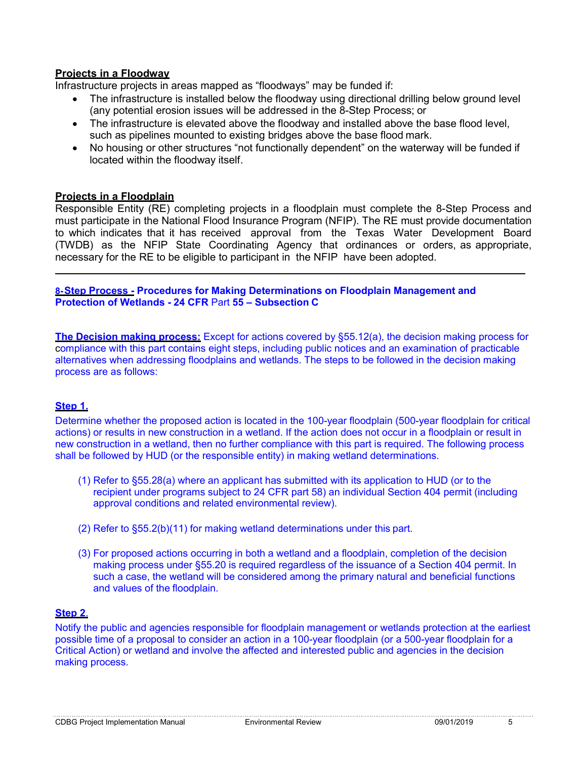#### **Projects in a Floodway**

Infrastructure projects in areas mapped as "floodways" may be funded if:

- The infrastructure is installed below the floodway using directional drilling below ground level (any potential erosion issues will be addressed in the 8-Step Process; or
- The infrastructure is elevated above the floodway and installed above the base flood level. such as pipelines mounted to existing bridges above the base flood mark.
- No housing or other structures "not functionally dependent" on the waterway will be funded if located within the floodway itself.

#### **Projects in a Floodplain**

Responsible Entity (RE) completing projects in a floodplain must complete the 8-Step Process and must participate in the National Flood Insurance Program (NFIP). The RE must provide documentation to which indicates that it has received approval from the Texas Water Development Board (TWDB) as the NFIP State Coordinating Agency that ordinances or orders, as appropriate, necessary for the RE to be eligible to participant in the NFIP have been adopted.

**8-Step Process - Procedures for Making Determinations on Floodplain Management and Protection of Wetlands - 24 CFR** Part **55 – Subsection C**

**The Decision making process:** Except for actions covered by §55.12(a), the decision making process for compliance with this part contains eight steps, including public notices and an examination of practicable alternatives when addressing floodplains and wetlands. The steps to be followed in the decision making process are as follows:

#### **Step 1.**

Determine whether the proposed action is located in the 100-year floodplain (500-year floodplain for critical actions) or results in new construction in a wetland. If the action does not occur in a floodplain or result in new construction in a wetland, then no further compliance with this part is required. The following process shall be followed by HUD (or the responsible entity) in making wetland determinations.

- (1) Refer to §55.28(a) where an applicant has submitted with its application to HUD (or to the recipient under programs subject to 24 CFR part 58) an individual Section 404 permit (including approval conditions and related environmental review).
- (2) Refer to §55.2(b)(11) for making wetland determinations under this part.
- (3) For proposed actions occurring in both a wetland and a floodplain, completion of the decision making process under §55.20 is required regardless of the issuance of a Section 404 permit. In such a case, the wetland will be considered among the primary natural and beneficial functions and values of the floodplain.

#### **Step 2**.

Notify the public and agencies responsible for floodplain management or wetlands protection at the earliest possible time of a proposal to consider an action in a 100-year floodplain (or a 500-year floodplain for a Critical Action) or wetland and involve the affected and interested public and agencies in the decision making process.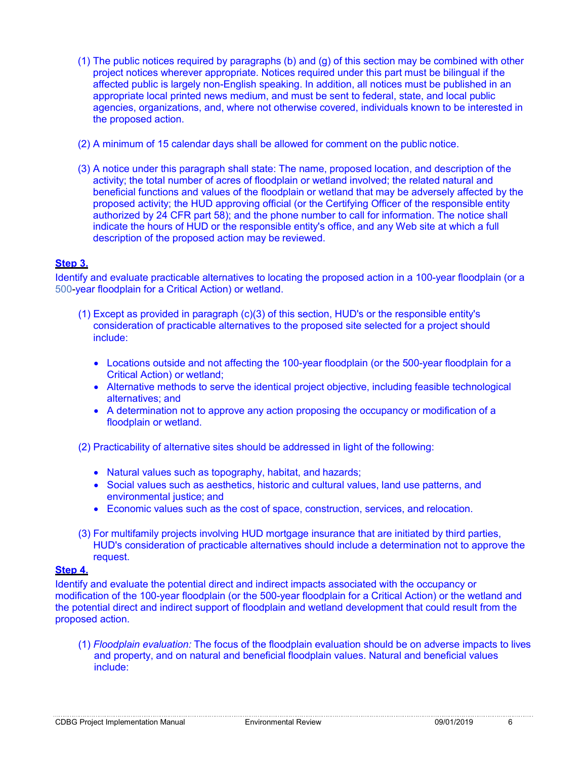- (1) The public notices required by paragraphs (b) and (g) of this section may be combined with other project notices wherever appropriate. Notices required under this part must be bilingual if the affected public is largely non-English speaking. In addition, all notices must be published in an appropriate local printed news medium, and must be sent to federal, state, and local public agencies, organizations, and, where not otherwise covered, individuals known to be interested in the proposed action.
- (2) A minimum of 15 calendar days shall be allowed for comment on the public notice.
- (3) A notice under this paragraph shall state: The name, proposed location, and description of the activity; the total number of acres of floodplain or wetland involved; the related natural and beneficial functions and values of the floodplain or wetland that may be adversely affected by the proposed activity; the HUD approving official (or the Certifying Officer of the responsible entity authorized by 24 CFR part 58); and the phone number to call for information. The notice shall indicate the hours of HUD or the responsible entity's office, and any Web site at which a full description of the proposed action may be reviewed.

#### **Step 3.**

Identify and evaluate practicable alternatives to locating the proposed action in a 100-year floodplain (or a 500-year floodplain for a Critical Action) or wetland.

- (1) Except as provided in paragraph (c)(3) of this section, HUD's or the responsible entity's consideration of practicable alternatives to the proposed site selected for a project should include:
	- Locations outside and not affecting the 100-year floodplain (or the 500-year floodplain for a Critical Action) or wetland;
	- Alternative methods to serve the identical project objective, including feasible technological alternatives; and
	- A determination not to approve any action proposing the occupancy or modification of a floodplain or wetland.

(2) Practicability of alternative sites should be addressed in light of the following:

- Natural values such as topography, habitat, and hazards;
- Social values such as aesthetics, historic and cultural values, land use patterns, and environmental justice; and
- Economic values such as the cost of space, construction, services, and relocation.
- (3) For multifamily projects involving HUD mortgage insurance that are initiated by third parties, HUD's consideration of practicable alternatives should include a determination not to approve the request.

#### **Step 4.**

Identify and evaluate the potential direct and indirect impacts associated with the occupancy or modification of the 100-year floodplain (or the 500-year floodplain for a Critical Action) or the wetland and the potential direct and indirect support of floodplain and wetland development that could result from the proposed action.

(1) *Floodplain evaluation:* The focus of the floodplain evaluation should be on adverse impacts to lives and property, and on natural and beneficial floodplain values. Natural and beneficial values include: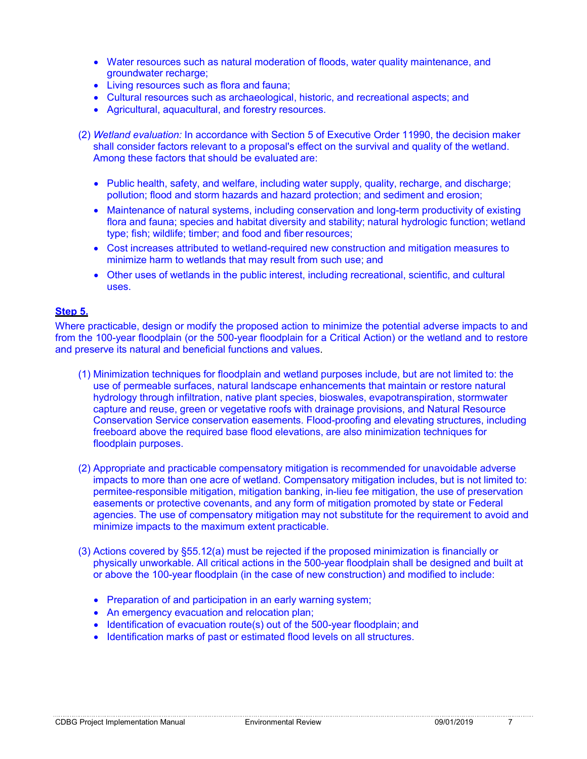- Water resources such as natural moderation of floods, water quality maintenance, and groundwater recharge;
- Living resources such as flora and fauna;
- Cultural resources such as archaeological, historic, and recreational aspects; and
- Agricultural, aquacultural, and forestry resources.
- (2) *Wetland evaluation:* In accordance with Section 5 of Executive Order 11990, the decision maker shall consider factors relevant to a proposal's effect on the survival and quality of the wetland. Among these factors that should be evaluated are:
	- Public health, safety, and welfare, including water supply, quality, recharge, and discharge; pollution; flood and storm hazards and hazard protection; and sediment and erosion;
	- Maintenance of natural systems, including conservation and long-term productivity of existing flora and fauna; species and habitat diversity and stability; natural hydrologic function; wetland type; fish; wildlife; timber; and food and fiber resources;
	- Cost increases attributed to wetland-required new construction and mitigation measures to minimize harm to wetlands that may result from such use; and
	- Other uses of wetlands in the public interest, including recreational, scientific, and cultural uses.

#### **Step 5.**

Where practicable, design or modify the proposed action to minimize the potential adverse impacts to and from the 100-year floodplain (or the 500-year floodplain for a Critical Action) or the wetland and to restore and preserve its natural and beneficial functions and values.

- (1) Minimization techniques for floodplain and wetland purposes include, but are not limited to: the use of permeable surfaces, natural landscape enhancements that maintain or restore natural hydrology through infiltration, native plant species, bioswales, evapotranspiration, stormwater capture and reuse, green or vegetative roofs with drainage provisions, and Natural Resource Conservation Service conservation easements. Flood-proofing and elevating structures, including freeboard above the required base flood elevations, are also minimization techniques for floodplain purposes.
- (2) Appropriate and practicable compensatory mitigation is recommended for unavoidable adverse impacts to more than one acre of wetland. Compensatory mitigation includes, but is not limited to: permitee-responsible mitigation, mitigation banking, in-lieu fee mitigation, the use of preservation easements or protective covenants, and any form of mitigation promoted by state or Federal agencies. The use of compensatory mitigation may not substitute for the requirement to avoid and minimize impacts to the maximum extent practicable.
- (3) Actions covered by §55.12(a) must be rejected if the proposed minimization is financially or physically unworkable. All critical actions in the 500-year floodplain shall be designed and built at or above the 100-year floodplain (in the case of new construction) and modified to include:
	- Preparation of and participation in an early warning system;
	- An emergency evacuation and relocation plan;
	- Identification of evacuation route(s) out of the 500-year floodplain; and
	- Identification marks of past or estimated flood levels on all structures.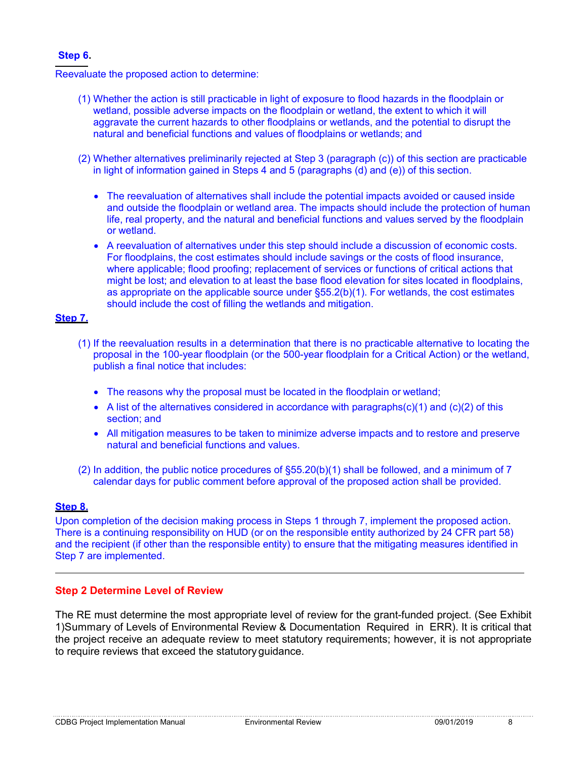#### **Step 6.**

Reevaluate the proposed action to determine:

- (1) Whether the action is still practicable in light of exposure to flood hazards in the floodplain or wetland, possible adverse impacts on the floodplain or wetland, the extent to which it will aggravate the current hazards to other floodplains or wetlands, and the potential to disrupt the natural and beneficial functions and values of floodplains or wetlands; and
- (2) Whether alternatives preliminarily rejected at Step 3 (paragraph (c)) of this section are practicable in light of information gained in Steps 4 and 5 (paragraphs (d) and (e)) of this section.
	- The reevaluation of alternatives shall include the potential impacts avoided or caused inside and outside the floodplain or wetland area. The impacts should include the protection of human life, real property, and the natural and beneficial functions and values served by the floodplain or wetland.
	- A reevaluation of alternatives under this step should include a discussion of economic costs. For floodplains, the cost estimates should include savings or the costs of flood insurance, where applicable; flood proofing; replacement of services or functions of critical actions that might be lost; and elevation to at least the base flood elevation for sites located in floodplains, as appropriate on the applicable source under §55.2(b)(1). For wetlands, the cost estimates should include the cost of filling the wetlands and mitigation.

#### **Step 7.**

- (1) If the reevaluation results in a determination that there is no practicable alternative to locating the proposal in the 100-year floodplain (or the 500-year floodplain for a Critical Action) or the wetland, publish a final notice that includes:
	- The reasons why the proposal must be located in the floodplain or wetland;
	- A list of the alternatives considered in accordance with paragraphs $(c)(1)$  and  $(c)(2)$  of this section; and
	- All mitigation measures to be taken to minimize adverse impacts and to restore and preserve natural and beneficial functions and values.
- (2) In addition, the public notice procedures of §55.20(b)(1) shall be followed, and a minimum of 7 calendar days for public comment before approval of the proposed action shall be provided.

#### **Step 8.**

Upon completion of the decision making process in Steps 1 through 7, implement the proposed action. There is a continuing responsibility on HUD (or on the responsible entity authorized by 24 CFR part 58) and the recipient (if other than the responsible entity) to ensure that the mitigating measures identified in Step 7 are implemented.

#### **Step 2 Determine Level of Review**

The RE must determine the most appropriate level of review for the grant-funded project. (See Exhibit 1)Summary of Levels of Environmental Review & Documentation Required in ERR). It is critical that the project receive an adequate review to meet statutory requirements; however, it is not appropriate to require reviews that exceed the statutory guidance.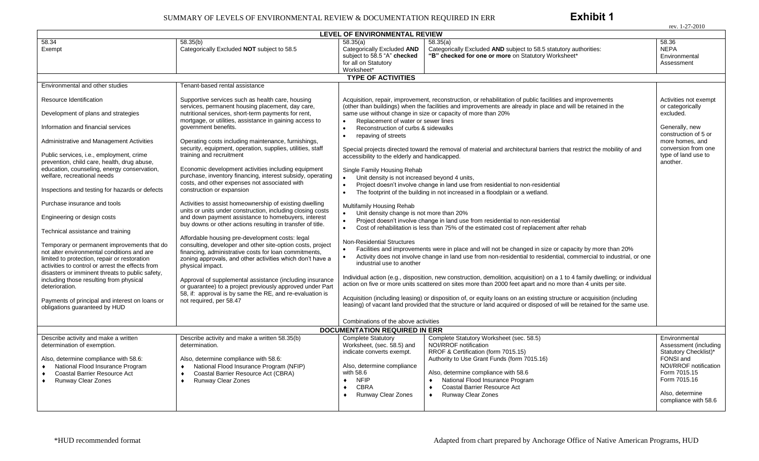rev. 1-27-2010

|                                                                                                                                                                                                                                                  |                                                                                                                                                                                                      | <b>LEVEL OF ENVIRONMENTAL REVIEW</b>                                                                                                                                                                                                                                                                   |                                                                    |  |  |  |  |
|--------------------------------------------------------------------------------------------------------------------------------------------------------------------------------------------------------------------------------------------------|------------------------------------------------------------------------------------------------------------------------------------------------------------------------------------------------------|--------------------------------------------------------------------------------------------------------------------------------------------------------------------------------------------------------------------------------------------------------------------------------------------------------|--------------------------------------------------------------------|--|--|--|--|
| 58.34<br>Exempt                                                                                                                                                                                                                                  | 58.35(b)<br>Categorically Excluded NOT subject to 58.5                                                                                                                                               | 58.35(a)<br>58.35(a)<br>Categorically Excluded AND<br>Categorically Excluded AND subject to 58.5 statutory authorities:<br>subject to 58.5 "A" checked<br>"B" checked for one or more on Statutory Worksheet*<br>for all on Statutory<br>Worksheet*                                                    | 58.36<br><b>NEPA</b><br>Environmental<br>Assessment                |  |  |  |  |
| <b>TYPE OF ACTIVITIES</b>                                                                                                                                                                                                                        |                                                                                                                                                                                                      |                                                                                                                                                                                                                                                                                                        |                                                                    |  |  |  |  |
| Environmental and other studies                                                                                                                                                                                                                  | Tenant-based rental assistance                                                                                                                                                                       |                                                                                                                                                                                                                                                                                                        |                                                                    |  |  |  |  |
| Resource Identification                                                                                                                                                                                                                          | Supportive services such as health care, housing<br>services, permanent housing placement, day care,                                                                                                 | Acquisition, repair, improvement, reconstruction, or rehabilitation of public facilities and improvements<br>(other than buildings) when the facilities and improvements are already in place and will be retained in the                                                                              | Activities not exempt<br>or categorically<br>excluded.             |  |  |  |  |
| Development of plans and strategies                                                                                                                                                                                                              | nutritional services, short-term payments for rent,<br>mortgage, or utilities, assistance in gaining access to                                                                                       | same use without change in size or capacity of more than 20%<br>Replacement of water or sewer lines<br>$\bullet$                                                                                                                                                                                       |                                                                    |  |  |  |  |
| Information and financial services                                                                                                                                                                                                               | government benefits.                                                                                                                                                                                 | Reconstruction of curbs & sidewalks<br>$\bullet$<br>$\bullet$<br>repaving of streets                                                                                                                                                                                                                   | Generally, new<br>construction of 5 or                             |  |  |  |  |
| Administrative and Management Activities                                                                                                                                                                                                         | Operating costs including maintenance, furnishings,<br>security, equipment, operation, supplies, utilities, staff                                                                                    | Special projects directed toward the removal of material and architectural barriers that restrict the mobility of and                                                                                                                                                                                  | more homes, and<br>conversion from one                             |  |  |  |  |
| Public services, i.e., employment, crime<br>prevention, child care, health, drug abuse,                                                                                                                                                          | training and recruitment                                                                                                                                                                             | accessibility to the elderly and handicapped.                                                                                                                                                                                                                                                          | type of land use to<br>another.                                    |  |  |  |  |
| education, counseling, energy conservation,<br>welfare, recreational needs                                                                                                                                                                       | Economic development activities including equipment<br>purchase, inventory financing, interest subsidy, operating<br>costs, and other expenses not associated with                                   | Single Family Housing Rehab<br>Unit density is not increased beyond 4 units,                                                                                                                                                                                                                           |                                                                    |  |  |  |  |
| Inspections and testing for hazards or defects                                                                                                                                                                                                   | construction or expansion                                                                                                                                                                            | Project doesn't involve change in land use from residential to non-residential<br>$\bullet$<br>The footprint of the building in not increased in a floodplain or a wetland.<br>$\bullet$                                                                                                               |                                                                    |  |  |  |  |
| Purchase insurance and tools                                                                                                                                                                                                                     | Activities to assist homeownership of existing dwelling<br>units or units under construction, including closing costs                                                                                | Multifamily Housing Rehab                                                                                                                                                                                                                                                                              |                                                                    |  |  |  |  |
| Engineering or design costs                                                                                                                                                                                                                      | and down payment assistance to homebuyers, interest<br>buy downs or other actions resulting in transfer of title.                                                                                    | Unit density change is not more than 20%<br>$\bullet$<br>Project doesn't involve change in land use from residential to non-residential                                                                                                                                                                |                                                                    |  |  |  |  |
| Technical assistance and training                                                                                                                                                                                                                | Affordable housing pre-development costs: legal                                                                                                                                                      | Cost of rehabilitation is less than 75% of the estimated cost of replacement after rehab<br>$\bullet$                                                                                                                                                                                                  |                                                                    |  |  |  |  |
| Temporary or permanent improvements that do<br>not alter environmental conditions and are<br>limited to protection, repair or restoration<br>activities to control or arrest the effects from<br>disasters or imminent threats to public safety, | consulting, developer and other site-option costs, project<br>financing, administrative costs for loan commitments,<br>zoning approvals, and other activities which don't have a<br>physical impact. | <b>Non-Residential Structures</b><br>Facilities and improvements were in place and will not be changed in size or capacity by more than 20%<br>Activity does not involve change in land use from non-residential to residential, commercial to industrial, or one<br>industrial use to another         |                                                                    |  |  |  |  |
| including those resulting from physical<br>deterioration.                                                                                                                                                                                        | Approval of supplemental assistance (including insurance<br>or guarantee) to a project previously approved under Part                                                                                | Individual action (e.g., disposition, new construction, demolition, acquisition) on a 1 to 4 family dwelling; or individual<br>action on five or more units scattered on sites more than 2000 feet apart and no more than 4 units per site.                                                            |                                                                    |  |  |  |  |
| Payments of principal and interest on loans or<br>obligations guaranteed by HUD                                                                                                                                                                  | 58, if: approval is by same the RE, and re-evaluation is<br>not required, per 58.47                                                                                                                  | Acquisition (including leasing) or disposition of, or equity loans on an existing structure or acquisition (including<br>leasing) of vacant land provided that the structure or land acquired or disposed of will be retained for the same use.                                                        |                                                                    |  |  |  |  |
|                                                                                                                                                                                                                                                  |                                                                                                                                                                                                      | Combinations of the above activities                                                                                                                                                                                                                                                                   |                                                                    |  |  |  |  |
|                                                                                                                                                                                                                                                  |                                                                                                                                                                                                      | <b>DOCUMENTATION REQUIRED IN ERR</b>                                                                                                                                                                                                                                                                   |                                                                    |  |  |  |  |
| Describe activity and make a written<br>determination of exemption.                                                                                                                                                                              | Describe activity and make a written 58.35(b)<br>determination.                                                                                                                                      | Complete Statutory Worksheet (sec. 58.5)<br><b>Complete Statutory</b><br>NOI/RROF notification<br>Worksheet, (sec. 58.5) and<br>indicate converts exempt.<br>RROF & Certification (form 7015.15)                                                                                                       | Environmental<br>Assessment (including<br>Statutory Checklist)*    |  |  |  |  |
| Also, determine compliance with 58.6:<br>National Flood Insurance Program<br><b>Coastal Barrier Resource Act</b><br>$\bullet$<br>Runway Clear Zones<br>$\bullet$                                                                                 | Also, determine compliance with 58.6:<br>National Flood Insurance Program (NFIP)<br>$\bullet$<br>Coastal Barrier Resource Act (CBRA)<br>$\bullet$<br>Runway Clear Zones<br>$\bullet$                 | Authority to Use Grant Funds (form 7015.16)<br>Also, determine compliance<br>with 58.6<br>Also, determine compliance with 58.6<br><b>NFIP</b><br>National Flood Insurance Program<br>$\blacklozenge$<br>$\blacklozenge$<br><b>CBRA</b><br>Coastal Barrier Resource Act<br>$\blacklozenge$<br>$\bullet$ | FONSI and<br>NOI/RROF notification<br>Form 7015.15<br>Form 7015.16 |  |  |  |  |
|                                                                                                                                                                                                                                                  |                                                                                                                                                                                                      | <b>Runway Clear Zones</b><br><b>Runway Clear Zones</b><br>$\bullet$                                                                                                                                                                                                                                    | Also, determine<br>compliance with 58.6                            |  |  |  |  |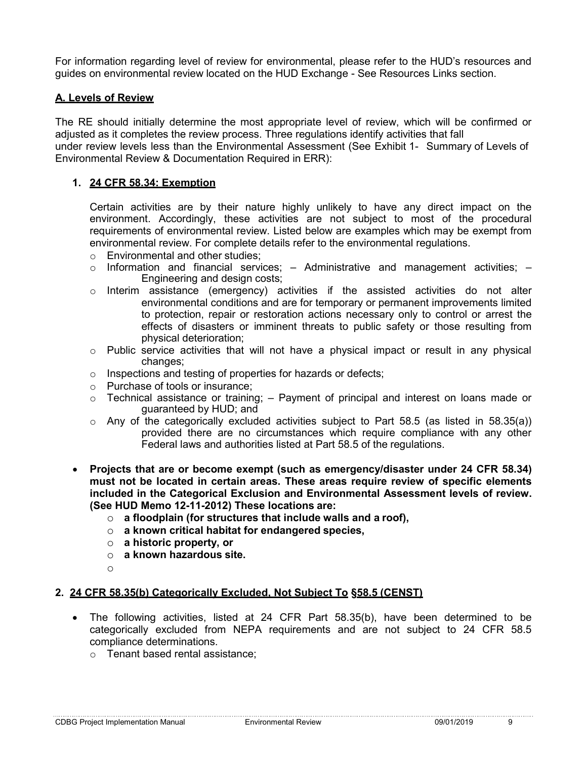For information regarding level of review for environmental, please refer to the HUD's resources and guides on environmental review located on the HUD Exchange - See Resources Links section.

#### **A. Levels of Review**

The RE should initially determine the most appropriate level of review, which will be confirmed or adjusted as it completes the review process. Three regulations identify activities that fall under review levels less than the Environmental Assessment (See Exhibit 1- Summary of Levels of Environmental Review & Documentation Required in ERR):

#### **1. 24 CFR 58.34: Exemption**

Certain activities are by their nature highly unlikely to have any direct impact on the environment. Accordingly, these activities are not subject to most of the procedural requirements of environmental review. Listed below are examples which may be exempt from environmental review. For complete details refer to the environmental regulations.

- o Environmental and other studies;
- $\circ$  Information and financial services;  $-$  Administrative and management activities;  $-$ Engineering and design costs;
- $\circ$  Interim assistance (emergency) activities if the assisted activities do not alter environmental conditions and are for temporary or permanent improvements limited to protection, repair or restoration actions necessary only to control or arrest the effects of disasters or imminent threats to public safety or those resulting from physical deterioration;
- $\circ$  Public service activities that will not have a physical impact or result in any physical changes;
- o Inspections and testing of properties for hazards or defects;
- o Purchase of tools or insurance;
- $\circ$  Technical assistance or training;  $-$  Payment of principal and interest on loans made or guaranteed by HUD; and
- $\circ$  Any of the categorically excluded activities subject to Part 58.5 (as listed in 58.35(a)) provided there are no circumstances which require compliance with any other Federal laws and authorities listed at Part 58.5 of the regulations.
- **Projects that are or become exempt (such as emergency/disaster under 24 CFR 58.34) must not be located in certain areas. These areas require review of specific elements included in the Categorical Exclusion and Environmental Assessment levels of review. (See HUD Memo 12-11-2012) These locations are:**
	- o **a floodplain (for structures that include walls and a roof),**
	- o **a known critical habitat for endangered species,**
	- o **a historic property, or**
	- o **a known hazardous site.**
	- o

#### **2. 24 CFR 58.35(b) Categorically Excluded, Not Subject To §58.5 (CENST)**

- The following activities, listed at 24 CFR Part 58.35(b), have been determined to be categorically excluded from NEPA requirements and are not subject to 24 CFR 58.5 compliance determinations.
	- o Tenant based rental assistance;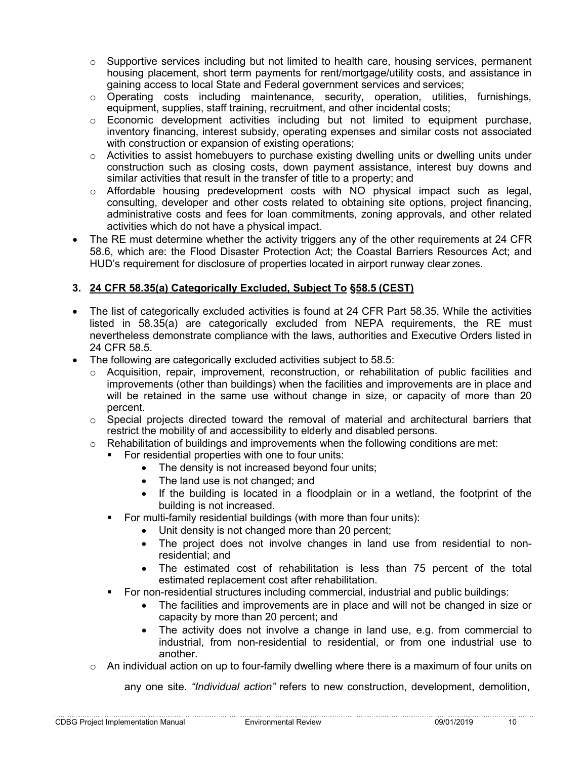- $\circ$  Supportive services including but not limited to health care, housing services, permanent housing placement, short term payments for rent/mortgage/utility costs, and assistance in gaining access to local State and Federal government services and services;
- o Operating costs including maintenance, security, operation, utilities, furnishings, equipment, supplies, staff training, recruitment, and other incidental costs;
- $\circ$  Economic development activities including but not limited to equipment purchase, inventory financing, interest subsidy, operating expenses and similar costs not associated with construction or expansion of existing operations;
- o Activities to assist homebuyers to purchase existing dwelling units or dwelling units under construction such as closing costs, down payment assistance, interest buy downs and similar activities that result in the transfer of title to a property; and
- $\circ$  Affordable housing predevelopment costs with NO physical impact such as legal, consulting, developer and other costs related to obtaining site options, project financing, administrative costs and fees for loan commitments, zoning approvals, and other related activities which do not have a physical impact.
- The RE must determine whether the activity triggers any of the other requirements at 24 CFR 58.6, which are: the Flood Disaster Protection Act; the Coastal Barriers Resources Act; and HUD's requirement for disclosure of properties located in airport runway clear zones.

#### **3. 24 CFR 58.35(a) Categorically Excluded, Subject To §58.5 (CEST)**

- The list of categorically excluded activities is found at 24 CFR Part 58.35. While the activities listed in 58.35(a) are categorically excluded from NEPA requirements, the RE must nevertheless demonstrate compliance with the laws, authorities and Executive Orders listed in 24 CFR 58.5.
- The following are categorically excluded activities subject to 58.5:
	- $\circ$  Acquisition, repair, improvement, reconstruction, or rehabilitation of public facilities and improvements (other than buildings) when the facilities and improvements are in place and will be retained in the same use without change in size, or capacity of more than 20 percent.
	- $\circ$  Special projects directed toward the removal of material and architectural barriers that restrict the mobility of and accessibility to elderly and disabled persons.
	- $\circ$  Rehabilitation of buildings and improvements when the following conditions are met:
		- For residential properties with one to four units:
			- The density is not increased beyond four units;
			- The land use is not changed; and
			- If the building is located in a floodplain or in a wetland, the footprint of the building is not increased.
		- For multi-family residential buildings (with more than four units):
			- Unit density is not changed more than 20 percent;
			- The project does not involve changes in land use from residential to nonresidential; and
			- The estimated cost of rehabilitation is less than 75 percent of the total estimated replacement cost after rehabilitation.
		- For non-residential structures including commercial, industrial and public buildings:
			- The facilities and improvements are in place and will not be changed in size or capacity by more than 20 percent; and
			- The activity does not involve a change in land use, e.g. from commercial to industrial, from non-residential to residential, or from one industrial use to another.
	- $\circ$  An individual action on up to four-family dwelling where there is a maximum of four units on

any one site. *"Individual action"* refers to new construction, development, demolition,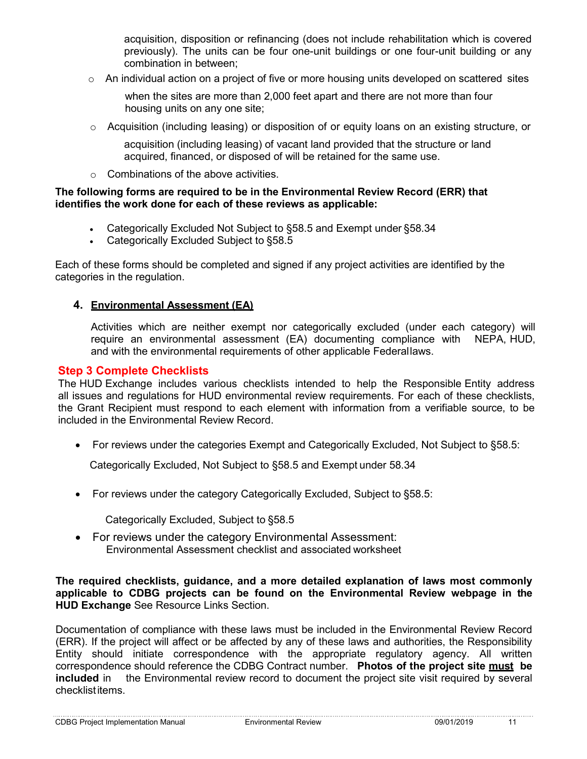acquisition, disposition or refinancing (does not include rehabilitation which is covered previously). The units can be four one-unit buildings or one four-unit building or any combination in between;

 $\circ$  An individual action on a project of five or more housing units developed on scattered sites

when the sites are more than 2,000 feet apart and there are not more than four housing units on any one site;

 $\circ$  Acquisition (including leasing) or disposition of or equity loans on an existing structure, or

acquisition (including leasing) of vacant land provided that the structure or land acquired, financed, or disposed of will be retained for the same use.

o Combinations of the above activities.

#### **The following forms are required to be in the Environmental Review Record (ERR) that identifies the work done for each of these reviews as applicable:**

- Categorically Excluded Not Subject to §58.5 and Exempt under §58.34
- Categorically Excluded Subject to §58.5

Each of these forms should be completed and signed if any project activities are identified by the categories in the regulation.

#### **4. Environmental Assessment (EA)**

Activities which are neither exempt nor categorically excluded (under each category) will require an environmental assessment (EA) documenting compliance with NEPA, HUD, and with the environmental requirements of other applicable Federallaws.

#### **Step 3 Complete Checklists**

The HUD Exchange includes various checklists intended to help the Responsible Entity address all issues and regulations for HUD environmental review requirements. For each of these checklists, the Grant Recipient must respond to each element with information from a verifiable source, to be included in the Environmental Review Record.

• For reviews under the categories Exempt and Categorically Excluded, Not Subject to §58.5:

Categorically Excluded, Not Subject to §58.5 and Exempt under 58.34

• For reviews under the category Categorically Excluded, Subject to §58.5:

Categorically Excluded, Subject to §58.5

• For reviews under the category Environmental Assessment: Environmental Assessment checklist and associated worksheet

#### **The required checklists, guidance, and a more detailed explanation of laws most commonly applicable to CDBG projects can be found on the Environmental Review webpage in the HUD Exchange** See Resource Links Section.

Documentation of compliance with these laws must be included in the Environmental Review Record (ERR). If the project will affect or be affected by any of these laws and authorities, the Responsibility Entity should initiate correspondence with the appropriate regulatory agency. All written correspondence should reference the CDBG Contract number. **Photos of the project site must be included** in the Environmental review record to document the project site visit required by several checklistitems.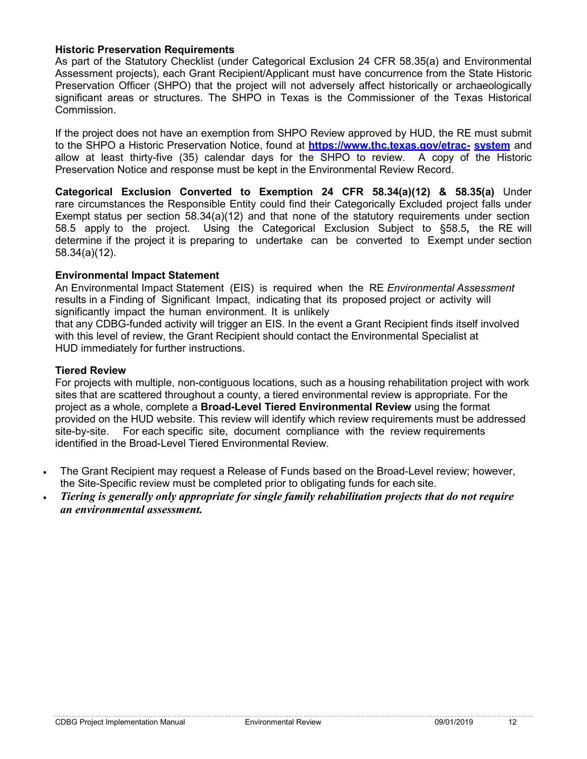#### **Historic Preservation Requirements**

As part of the Statutory Checklist (under Categorical Exclusion 24 CFR 58.35(a) and Environmental Assessment projects), each Grant Recipient/Applicant must have concurrence from the State Historic Preservation Officer (SHPO) that the project will not adversely affect historically or archaeologically significant areas or structures. The SHPO in Texas is the Commissioner of the Texas Historical Commission.

If the project does not have an exemption from SHPO Review approved by HUD, the RE must submit to the SHPO a Historic Preservation Notice, found at **[https://www.thc.texas.gov/etrac-](http://www.thc.texas.gov/etrac-) system** and allow at least thirty-five (35) calendar days for the SHPO to review. A copy of the Historic Preservation Notice and response must be kept in the Environmental Review Record.

**Categorical Exclusion Converted to Exemption 24 CFR 58.34(a)(12) & 58.35(a)** Under rare circumstances the Responsible Entity could find their Categorically Excluded project falls under Exempt status per section 58.34(a)(12) and that none of the statutory requirements under section 58.5 apply to the project. Using the Categorical Exclusion Subject to §58.5**,** the RE will determine if the project it is preparing to [undertake can be converted to](https://www.thc.texas.gov/etrac-system) [Exempt](https://www.thc.texas.gov/etrac-system) under section 58.34(a)(12).

#### **Environmental Impact Statement**

An Environmental Impact Statement (EIS) is required when the RE *Environmental Assessment* results in a Finding of Significant Impact, indicating that its proposed project or activity will significantly impact the human environment. It is unlikely

that any CDBG-funded activity will trigger an EIS. In the event a Grant Recipient finds itself involved with this level of review, the Grant Recipient should contact the Environmental Specialist at HUD immediately for further instructions.

#### **Tiered Review**

For projects with multiple, non-contiguous locations, such as a housing rehabilitation project with work sites that are scattered throughout a county, a tiered environmental review is appropriate. For the project as a whole, complete a **Broad-Level Tiered Environmental Review** using the format provided on the HUD website. This review will identify which review requirements must be addressed site-by-site. For each specific site, document compliance with the review requirements identified in the Broad-Level Tiered Environmental Review.

- The Grant Recipient may request a Release of Funds based on the Broad-Level review; however, the Site-Specific review must be completed prior to obligating funds for each site.
- *Tiering is generally only appropriate for single family rehabilitation projects that do not require an environmental assessment.*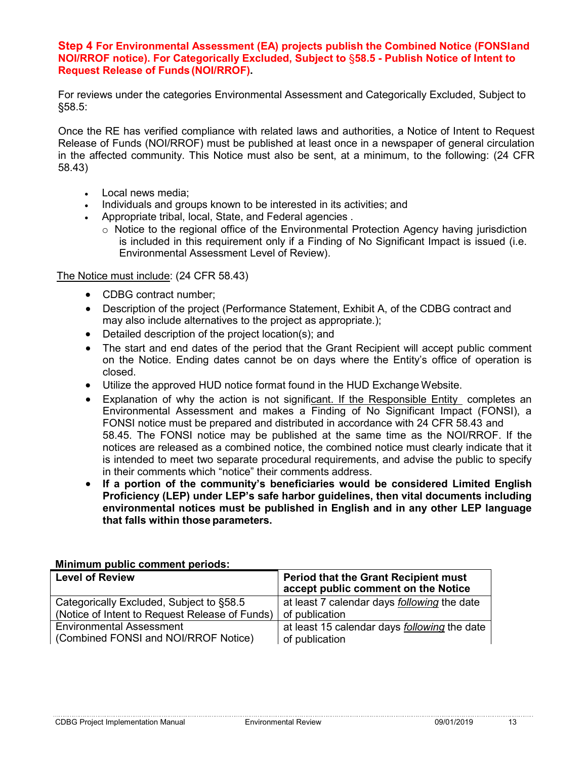#### **Step 4 For Environmental Assessment (EA) projects publish the Combined Notice (FONSIand NOI/RROF notice). For Categorically Excluded, Subject to** §**58.5 - Publish Notice of Intent to Request Release of Funds (NOI/RROF).**

For reviews under the categories Environmental Assessment and Categorically Excluded, Subject to §58.5:

Once the RE has verified compliance with related laws and authorities, a Notice of Intent to Request Release of Funds (NOI/RROF) must be published at least once in a newspaper of general circulation in the affected community. This Notice must also be sent, at a minimum, to the following: (24 CFR 58.43)

- Local news media;
- Individuals and groups known to be interested in its activities; and
- Appropriate tribal, local, State, and Federal agencies .
	- $\circ$  Notice to the regional office of the Environmental Protection Agency having jurisdiction is included in this requirement only if a Finding of No Significant Impact is issued (i.e. Environmental Assessment Level of Review).

#### The Notice must include: (24 CFR 58.43)

- CDBG contract number;
- Description of the project (Performance Statement, Exhibit A, of the CDBG contract and may also include alternatives to the project as appropriate.);
- Detailed description of the project location(s); and
- The start and end dates of the period that the Grant Recipient will accept public comment on the Notice. Ending dates cannot be on days where the Entity's office of operation is closed.
- Utilize the approved HUD notice format found in the HUD Exchange Website.
- Explanation of why the action is not significant. If the Responsible Entity completes an Environmental Assessment and makes a Finding of No Significant Impact (FONSI), a FONSI notice must be prepared and distributed in accordance with 24 CFR 58.43 and 58.45. The FONSI notice may be published at the same time as the NOI/RROF. If the notices are released as a combined notice, the combined notice must clearly indicate that it is intended to meet two separate procedural requirements, and advise the public to specify in their comments which "notice" their comments address.
- **If a portion of the community's beneficiaries would be considered Limited English Proficiency (LEP) under LEP's safe harbor guidelines, then vital documents including environmental notices must be published in English and in any other LEP language that falls within those parameters.**

| <u>MUNIMULI PUDILO CONNICHI PONOGO.</u>        |                                                                                    |  |  |  |
|------------------------------------------------|------------------------------------------------------------------------------------|--|--|--|
| <b>Level of Review</b>                         | <b>Period that the Grant Recipient must</b><br>accept public comment on the Notice |  |  |  |
| Categorically Excluded, Subject to §58.5       | at least 7 calendar days following the date                                        |  |  |  |
| (Notice of Intent to Request Release of Funds) | of publication                                                                     |  |  |  |
| <b>Environmental Assessment</b>                | at least 15 calendar days <i>following</i> the date                                |  |  |  |
| (Combined FONSI and NOI/RROF Notice)           | of publication                                                                     |  |  |  |

**Minimum public comment periods:**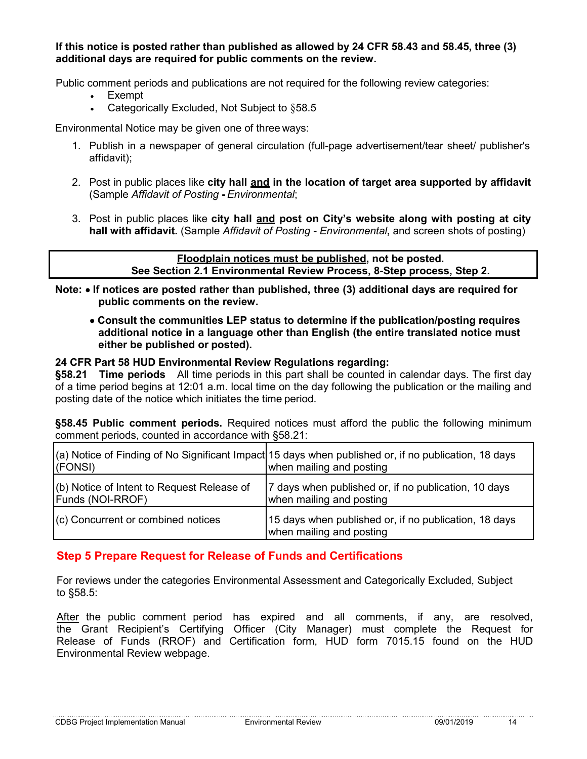**If this notice is posted rather than published as allowed by 24 CFR 58.43 and 58.45, three (3) additional days are required for public comments on the review.**

Public comment periods and publications are not required for the following review categories:

- Exempt
- Categorically Excluded, Not Subject to §58.5

Environmental Notice may be given one of three ways:

- 1. Publish in a newspaper of general circulation (full-page advertisement/tear sheet/ publisher's affidavit);
- 2. Post in public places like **city hall and in the location of target area supported by affidavit**  (Sample *Affidavit of Posting* **-** *Environmental*;
- 3. Post in public places like **city hall and post on City's website along with posting at city hall with affidavit.** (Sample *Affidavit of Posting* **-** *Environmental***,** and screen shots of posting)

**Floodplain notices must be published, not be posted. See Section 2.1 Environmental Review Process, 8-Step process, Step 2.**

**Note:** • **If notices are posted rather than published, three (3) additional days are required for public comments on the review.**

• **Consult the communities LEP status to determine if the publication/posting requires additional notice in a language other than English (the entire translated notice must either be published or posted).**

#### **24 CFR Part 58 HUD Environmental Review Regulations regarding:**

**§58.21 Time periods** All time periods in this part shall be counted in calendar days. The first day of a time period begins at 12:01 a.m. local time on the day following the publication or the mailing and posting date of the notice which initiates the time period.

**§58.45 Public comment periods.** Required notices must afford the public the following minimum comment periods, counted in accordance with §58.21:

| (FONSI)                                                        | (a) Notice of Finding of No Significant Impact 15 days when published or, if no publication, 18 days<br>when mailing and posting |
|----------------------------------------------------------------|----------------------------------------------------------------------------------------------------------------------------------|
| (b) Notice of Intent to Request Release of<br>Funds (NOI-RROF) | 7 days when published or, if no publication, 10 days<br>when mailing and posting                                                 |
| (c) Concurrent or combined notices                             | 15 days when published or, if no publication, 18 days<br>when mailing and posting                                                |

#### **Step 5 Prepare Request for Release of Funds and Certifications**

For reviews under the categories Environmental Assessment and Categorically Excluded, Subject to §58.5:

After the public comment period has expired and all comments, if any, are resolved, the Grant Recipient's Certifying Officer (City Manager) must complete the Request for Release of Funds (RROF) and Certification form, HUD form 7015.15 found on the HUD Environmental Review webpage.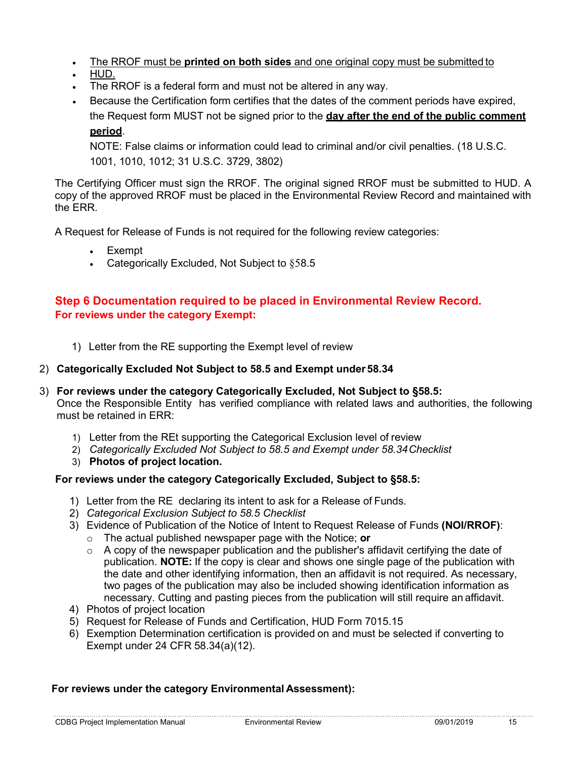- The RROF must be **printed on both sides** and one original copy must be submitted to
- HUD.
- The RROF is a federal form and must not be altered in any way.
- Because the Certification form certifies that the dates of the comment periods have expired, the Request form MUST not be signed prior to the **day after the end of the public comment period**.

NOTE: False claims or information could lead to criminal and/or civil penalties. (18 U.S.C. 1001, 1010, 1012; 31 U.S.C. 3729, 3802)

The Certifying Officer must sign the RROF. The original signed RROF must be submitted to HUD. A copy of the approved RROF must be placed in the Environmental Review Record and maintained with the ERR.

A Request for Release of Funds is not required for the following review categories:

- **Exempt**
- Categorically Excluded, Not Subject to §58.5

#### **Step 6 Documentation required to be placed in Environmental Review Record. For reviews under the category Exempt:**

1) Letter from the RE supporting the Exempt level of review

#### 2) **Categorically Excluded Not Subject to 58.5 and Exempt under 58.34**

- 3) **For reviews under the category Categorically Excluded, Not Subject to §58.5:** Once the Responsible Entity has verified compliance with related laws and authorities, the following must be retained in ERR:
	- 1) Letter from the REt supporting the Categorical Exclusion level of review
	- 2) *Categorically Excluded Not Subject to 58.5 and Exempt under 58.34Checklist*
	- 3) **Photos of project location.**

#### **For reviews under the category Categorically Excluded, Subject to §58.5:**

- 1) Letter from the RE declaring its intent to ask for a Release of Funds.
- 2) *Categorical Exclusion Subject to 58.5 Checklist*
- 3) Evidence of Publication of the Notice of Intent to Request Release of Funds **(NOI/RROF)**:
	- o The actual published newspaper page with the Notice; **or**
	- o A copy of the newspaper publication and the publisher's affidavit certifying the date of publication. **NOTE:** If the copy is clear and shows one single page of the publication with the date and other identifying information, then an affidavit is not required. As necessary, two pages of the publication may also be included showing identification information as necessary. Cutting and pasting pieces from the publication will still require an affidavit.
- 4) Photos of project location
- 5) Request for Release of Funds and Certification, HUD Form 7015.15
- 6) Exemption Determination certification is provided on and must be selected if converting to Exempt under 24 CFR 58.34(a)(12).

#### **For reviews under the category Environmental Assessment):**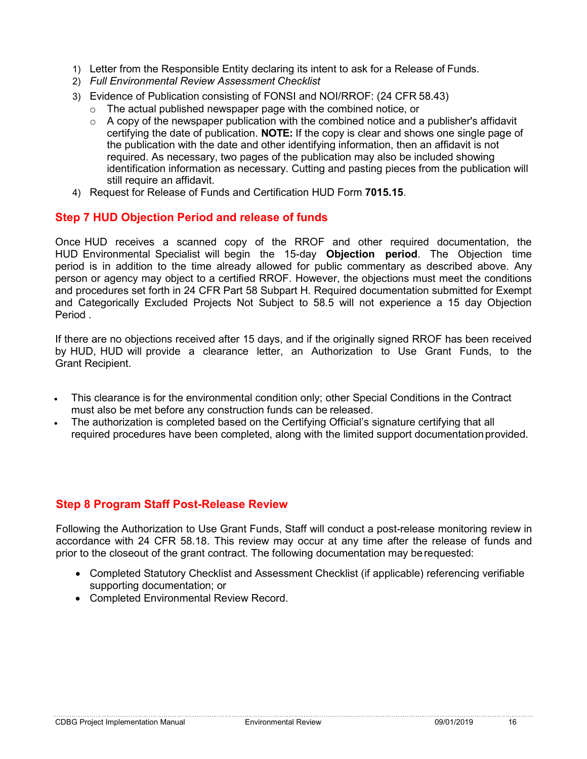- 1) Letter from the Responsible Entity declaring its intent to ask for a Release of Funds.
- 2) *Full Environmental Review Assessment Checklist*
- 3) Evidence of Publication consisting of FONSI and NOI/RROF: (24 CFR 58.43)
	- o The actual published newspaper page with the combined notice, or
	- $\circ$  A copy of the newspaper publication with the combined notice and a publisher's affidavit certifying the date of publication. **NOTE:** If the copy is clear and shows one single page of the publication with the date and other identifying information, then an affidavit is not required. As necessary, two pages of the publication may also be included showing identification information as necessary. Cutting and pasting pieces from the publication will still require an affidavit.
- 4) Request for Release of Funds and Certification HUD Form **7015.15**.

#### **Step 7 HUD Objection Period and release of funds**

Once HUD receives a scanned copy of the RROF and other required documentation, the HUD Environmental Specialist will begin the 15-day **Objection period**. The Objection time period is in addition to the time already allowed for public commentary as described above. Any person or agency may object to a certified RROF. However, the objections must meet the conditions and procedures set forth in 24 CFR Part 58 Subpart H. Required documentation submitted for Exempt and Categorically Excluded Projects Not Subject to 58.5 will not experience a 15 day Objection Period .

If there are no objections received after 15 days, and if the originally signed RROF has been received by HUD, HUD will provide a clearance letter, an Authorization to Use Grant Funds, to the Grant Recipient.

- This clearance is for the environmental condition only; other Special Conditions in the Contract must also be met before any construction funds can be released.
- The authorization is completed based on the Certifying Official's signature certifying that all required procedures have been completed, along with the limited support documentationprovided.

#### **Step 8 Program Staff Post-Release Review**

Following the Authorization to Use Grant Funds, Staff will conduct a post-release monitoring review in accordance with 24 CFR 58.18. This review may occur at any time after the release of funds and prior to the closeout of the grant contract. The following documentation may berequested:

- Completed Statutory Checklist and Assessment Checklist (if applicable) referencing verifiable supporting documentation; or
- Completed Environmental Review Record.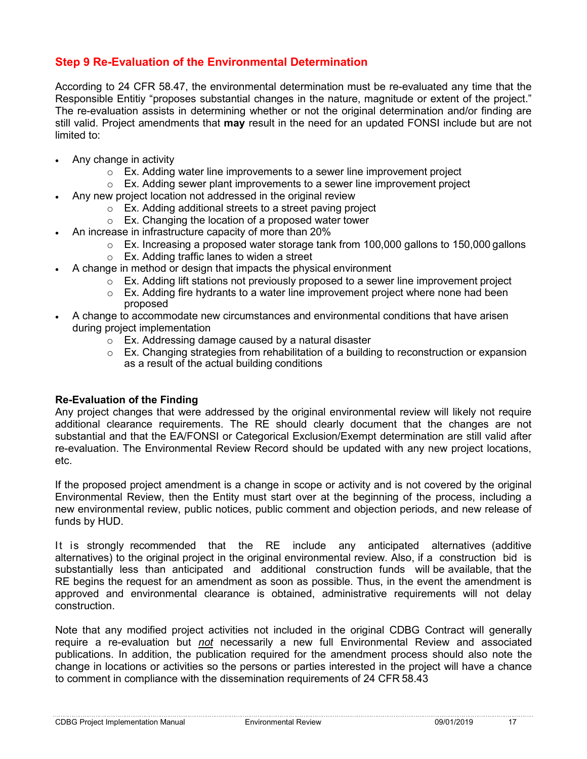#### **Step 9 Re-Evaluation of the Environmental Determination**

According to 24 CFR 58.47, the environmental determination must be re-evaluated any time that the Responsible Entitiy "proposes substantial changes in the nature, magnitude or extent of the project." The re-evaluation assists in determining whether or not the original determination and/or finding are still valid. Project amendments that **may** result in the need for an updated FONSI include but are not limited to:

- Any change in activity
	- $\circ$  Ex. Adding water line improvements to a sewer line improvement project
	- $\circ$  Ex. Adding sewer plant improvements to a sewer line improvement project
- Any new project location not addressed in the original review
	- o Ex. Adding additional streets to a street paving project
	- $\circ$  Ex. Changing the location of a proposed water tower
	- An increase in infrastructure capacity of more than 20%
		- $\circ$  Ex. Increasing a proposed water storage tank from 100,000 gallons to 150,000 gallons
		- o Ex. Adding traffic lanes to widen a street
- A change in method or design that impacts the physical environment
	- $\circ$  Ex. Adding lift stations not previously proposed to a sewer line improvement project
	- $\circ$  Ex. Adding fire hydrants to a water line improvement project where none had been proposed
- A change to accommodate new circumstances and environmental conditions that have arisen during project implementation
	- o Ex. Addressing damage caused by a natural disaster<br>○ Ex. Changing strategies from rehabilitation of a buildir
	- Ex. Changing strategies from rehabilitation of a building to reconstruction or expansion as a result of the actual building conditions

#### **Re-Evaluation of the Finding**

Any project changes that were addressed by the original environmental review will likely not require additional clearance requirements. The RE should clearly document that the changes are not substantial and that the EA/FONSI or Categorical Exclusion/Exempt determination are still valid after re-evaluation. The Environmental Review Record should be updated with any new project locations, etc.

If the proposed project amendment is a change in scope or activity and is not covered by the original Environmental Review, then the Entity must start over at the beginning of the process, including a new environmental review, public notices, public comment and objection periods, and new release of funds by HUD.

It is strongly recommended that the RE include any anticipated alternatives (additive alternatives) to the original project in the original environmental review. Also, if a construction bid is substantially less than anticipated and additional construction funds will be available, that the RE begins the request for an amendment as soon as possible. Thus, in the event the amendment is approved and environmental clearance is obtained, administrative requirements will not delay construction.

Note that any modified project activities not included in the original CDBG Contract will generally require a re-evaluation but *not* necessarily a new full Environmental Review and associated publications. In addition, the publication required for the amendment process should also note the change in locations or activities so the persons or parties interested in the project will have a chance to comment in compliance with the dissemination requirements of 24 CFR 58.43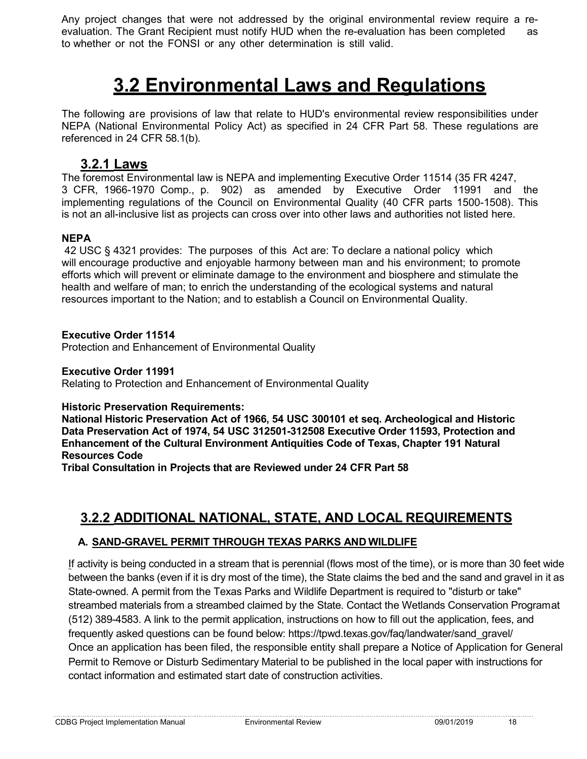Any project changes that were not addressed by the original environmental review require a reevaluation. The Grant Recipient must notify HUD when the re-evaluation has been completed as to whether or not the FONSI or any other determination is still valid.

### **3.2 Environmental Laws and Regulations**

The following are provisions of law that relate to HUD's environmental review responsibilities under NEPA (National Environmental Policy Act) as specified in 24 CFR Part 58. These regulations are referenced in 24 CFR 58.1(b).

#### **3.2.1 Laws**

The foremost Environmental law is NEPA and implementing [Executive Order 11514](http://www.hud.gov/offices/cpd/environment/lawsandregs/laws/lawsauthorities/eo/11514.cfm) (35 FR 4247, 3 CFR, 1966-1970 Comp., p. 902) as amended by [Executive Order 11991](http://www.hud.gov/offices/cpd/environment/lawsandregs/laws/lawsauthorities/eo/11991.cfm) and the implementing regulations of the [Council on Environmental Quality](http://www.hud.gov/offices/cpd/environment/lawsandregs/laws/lawsauthorities/40usc/) (40 CFR parts 1500-1508). This is not an all-inclusive list as projects can cross over into other laws and authorities not listed here.

#### **NEPA**

42 USC § 4321 provides: The purposes of this Act are: To declare a national policy which will encourage productive and enjoyable harmony between man and his environment; to promote efforts which will prevent or eliminate damage to the environment and biosphere and stimulate the health and welfare of man; to enrich the understanding of the ecological systems and natural resources important to the Nation; and to establish a Council on Environmental Quality.

#### **Executive Order 11514**

Protection and Enhancement of Environmental Quality

#### **Executive Order 11991**

Relating to Protection and Enhancement of Environmental Quality

#### **Historic Preservation Requirements:**

**National Historic Preservation Act of 1966, 54 USC 300101 et seq. Archeological and Historic Data Preservation Act of 1974, 54 USC 312501-312508 Executive Order 11593, Protection and Enhancement of the Cultural Environment Antiquities Code of Texas, Chapter 191 Natural Resources Code**

**Tribal Consultation in Projects that are Reviewed under 24 CFR Part 58** 

### **3.2.2 ADDITIONAL NATIONAL, STATE, AND LOCAL REQUIREMENTS**

#### **A. SAND-GRAVEL PERMIT THROUGH TEXAS PARKS AND WILDLIFE**

If activity is being conducted in a stream that is perennial (flows most of the time), or is more than 30 feet wide between the banks (even if it is dry most of the time), the State claims the bed and the sand and gravel in it as State-owned. A permit from the Texas Parks and Wildlife Department is required to "disturb or take" streambed materials from a streambed claimed by the State. Contact the Wetlands Conservation Programat (512) 389-4583. A link to the permit application, instructions on how to fill out the application, fees, and frequently asked questions can be found below: https://tpwd.texas.gov/faq/landwater/sand\_gravel/ Once an application has been filed, the responsible entity shall prepare a Notice of Application for General Permit to Remove or Disturb Sedimentary Material to be published in the local paper with instructions for contact information and estimated start date of construction activities.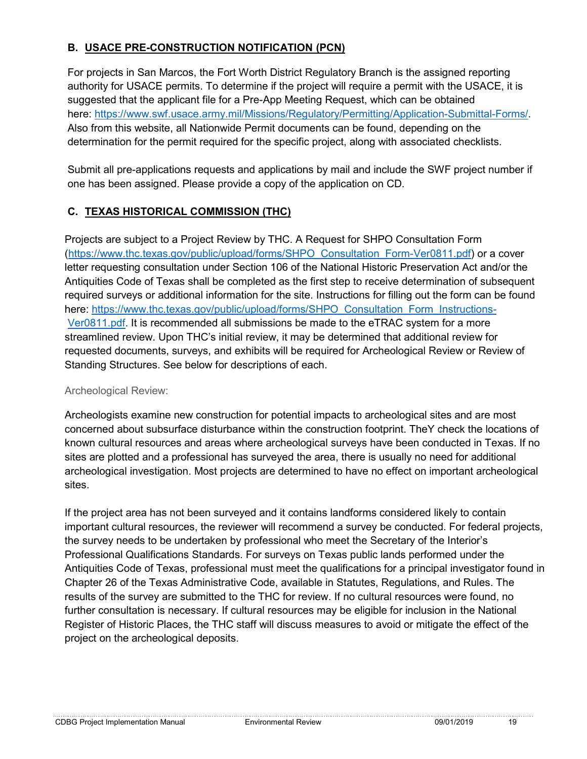#### **B. USACE PRE-CONSTRUCTION NOTIFICATION (PCN)**

For projects in San Marcos, the Fort Worth District Regulatory Branch is the assigned reporting authority for USACE permits. To determine if the project will require a permit with the USACE, it is suggested that the applicant file for a Pre-App Meeting Request, which can be obtained here: [https://www.swf.usace.army.mil/Missions/Regulatory/Permitting/Application-Submittal-Forms/.](https://www.swf.usace.army.mil/Missions/Regulatory/Permitting/Application-Submittal-Forms/) Also from this website, all Nationwide Permit documents can be found, depending on the determination for the permit required for the specific project, along with associated checklists.

Submit all pre-applications requests and applications by mail and include the SWF project number if one has been assigned. Please provide a copy of the application on CD.

#### **C. TEXAS HISTORICAL COMMISSION (THC)**

Projects are subject to a Project Review by THC. A Request for SHPO Consultation Form [\(https://www.thc.texas.gov/public/upload/forms/SHPO\\_Consultation\\_Form-Ver0811.pdf\)](https://www.thc.texas.gov/public/upload/forms/SHPO_Consultation_Form-Ver0811.pdf) or a cover letter requesting consultation under Section 106 of the National Historic Preservation Act and/or the Antiquities Code of Texas shall be completed as the first step to receive determination of subsequent required surveys or additional information for the site. Instructions for filling out the form can be found here: [https://www.thc.texas.gov/public/upload/forms/SHPO\\_Consultation\\_Form\\_Instructions-](https://www.thc.texas.gov/public/upload/forms/SHPO_Consultation_Form_Instructions-Ver0811.pdf)[Ver0811.pdf. I](https://www.thc.texas.gov/public/upload/forms/SHPO_Consultation_Form_Instructions-Ver0811.pdf)t is recommended all submissions be made to the eTRAC system for a more streamlined review. Upon THC's initial review, it may be determined that additional review for requested documents, surveys, and exhibits will be required for Archeological Review or Review of Standing Structures. See below for descriptions of each.

#### Archeological Review:

Archeologists examine new construction for potential impacts to archeological sites and are most concerned about subsurface disturbance within the construction footprint. TheY check the locations of known cultural resources and areas where archeological surveys have been conducted in Texas. If no sites are plotted and a professional has surveyed the area, there is usually no need for additional archeological investigation. Most projects are determined to have no effect on important archeological sites.

If the project area has not been surveyed and it contains landforms considered likely to contain important cultural resources, the reviewer will recommend a survey be conducted. For federal projects, the survey needs to be undertaken by professional who meet the Secretary of the Interior's Professional Qualifications Standards. For surveys on Texas public lands performed under the Antiquities Code of Texas, professional must meet the qualifications for a principal investigator found in Chapter 26 of the Texas Administrative Code, available in Statutes, Regulations, and Rules. The results of the survey are submitted to the THC for review. If no cultural resources were found, no further consultation is necessary. If cultural resources may be eligible for inclusion in the National Register of Historic Places, the THC staff will discuss measures to avoid or mitigate the effect of the project on the archeological deposits.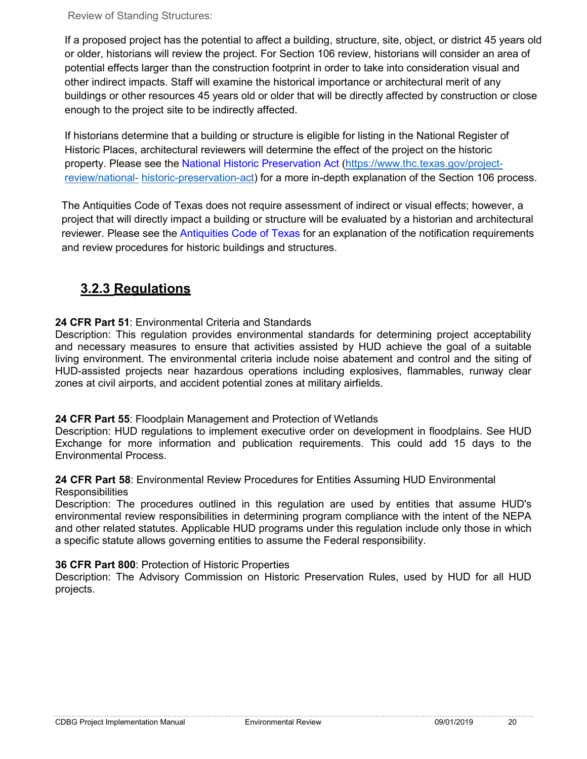Review of Standing Structures:

If a proposed project has the potential to affect a building, structure, site, object, or district 45 years old or older, historians will review the project. For Section 106 review, historians will consider an area of potential effects larger than the construction footprint in order to take into consideration visual and other indirect impacts. Staff will examine the historical importance or architectural merit of any buildings or other resources 45 years old or older that will be directly affected by construction or close enough to the project site to be indirectly affected.

If historians determine that a building or structure is eligible for listing in the National Register of Historic Places, architectural reviewers will determine the effect of the project on the historic property. Please see the National [Historic Preservation Act](https://www.thc.texas.gov/project-review/national-historic-preservation-act) [\(https://www.thc.texas.gov/project](https://www.thc.texas.gov/project-review/national-historic-preservation-act)[review/national-](https://www.thc.texas.gov/project-review/national-historic-preservation-act) [historic-preservation-act\)](https://www.thc.texas.gov/project-review/national-historic-preservation-act) for a more in-depth explanation of the Section 106 process.

The Antiquities Code of Texas does not require assessment of indirect or visual effects; however, a project that will directly impact a building or structure will be evaluated by a historian and architectural reviewer. Please see the [Antiquities Code of Texas](https://www.thc.texas.gov/project-review/antiquities-code-texas) for an explanation of the notification requirements and review procedures for historic buildings and structures.

### **3.2.3 Regulations**

#### **[24 CFR Part 51](http://www.access.gpo.gov/nara/cfr/waisidx_04/24cfr51_04.html)**: Environmental Criteria and Standards

Description: This regulation provides environmental standards for determining project acceptability and necessary measures to ensure that activities assisted by HUD achieve the goal of a suitable living environment. The environmental criteria include noise abatement and control and the siting of HUD-assisted projects near hazardous operations including explosives, flammables, runway clear zones at civil airports, and accident potential zones at military airfields.

#### **[24 CFR Part 55](http://www.access.gpo.gov/nara/cfr/waisidx_04/24cfr55_04.html)**: Floodplain Management and Protection of Wetlands

Description: HUD regulations to implement executive order on development in floodplains. See HUD Exchange for more information and publication requirements. This could add 15 days to the Environmental Process.

#### **[24 CFR Part 58](http://www.access.gpo.gov/nara/cfr/waisidx_04/24cfr58_04.html)**: Environmental Review Procedures for Entities Assuming HUD Environmental **Responsibilities**

Description: The procedures outlined in this regulation are used by entities that assume HUD's environmental review responsibilities in determining program compliance with the intent of the NEPA and other related statutes. Applicable HUD programs under this regulation include only those in which a specific statute allows governing entities to assume the Federal responsibility.

#### **[36 CFR Part 800](http://www.access.gpo.gov/nara/cfr/waisidx_04/36cfr800_04.html)**: Protection of Historic Properties

Description: The Advisory Commission on Historic Preservation Rules, used by HUD for all HUD projects.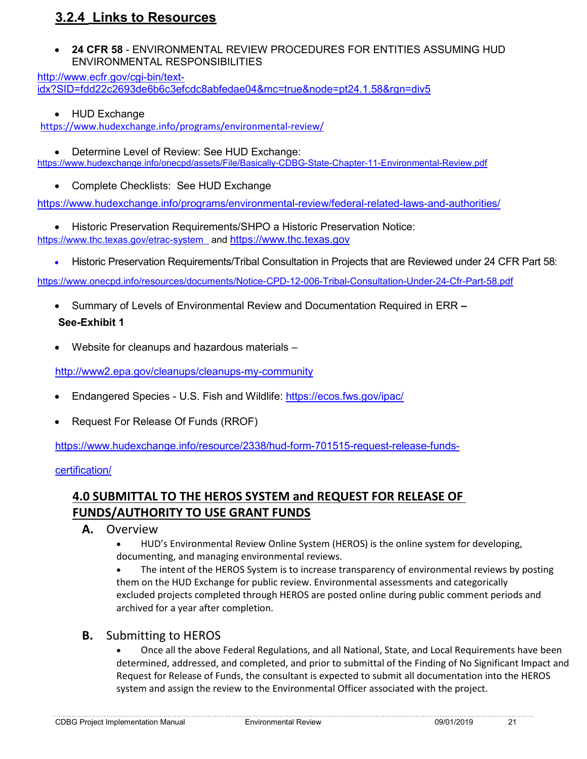#### **3.2.4 Links to Resources**

• **24 CFR 58** - ENVIRONMENTAL REVIEW PROCEDURES FOR ENTITIES ASSUMING HUD ENVIRONMENTAL RESPONSIBILITIES

[http://www.ecfr.gov/cgi-bin/text](http://www.ecfr.gov/cgi-bin/text-idx?SID=fdd22c2693de6b6c3efcdc8abfedae04&mc=true&node=pt24.1.58&rgn=div5)[idx?SID=fdd22c2693de6b6c3efcdc8abfedae04&mc=true&node=pt24.1.58&rgn=div5](http://www.ecfr.gov/cgi-bin/text-idx?SID=fdd22c2693de6b6c3efcdc8abfedae04&mc=true&node=pt24.1.58&rgn=div5)

• HUD Exchange

<https://www.hudexchange.info/programs/environmental-review/>

• Determine Level of Review: See HUD Exchange:

<https://www.hudexchange.info/onecpd/assets/File/Basically-CDBG-State-Chapter-11-Environmental-Review.pdf>

• Complete Checklists: See HUD Exchange

<https://www.hudexchange.info/programs/environmental-review/federal-related-laws-and-authorities/>

- Historic Preservation Requirements/SHPO a Historic Preservation Notice: <https://www.thc.texas.gov/etrac-system>and [https://www.thc.texas.gov](https://www.thc.texas.gov/)
	- Historic Preservation Requirements/Tribal Consultation in Projects that are Reviewed under 24 CFR Part 58:

<https://www.onecpd.info/resources/documents/Notice-CPD-12-006-Tribal-Consultation-Under-24-Cfr-Part-58.pdf>

- Summary of Levels of Environmental Review and Documentation Required in ERR **– See-Exhibit 1**
- Website for cleanups and hazardous materials –

<http://www2.epa.gov/cleanups/cleanups-my-community>

- Endangered Species U.S. Fish and Wildlife:<https://ecos.fws.gov/ipac/>
- Request For Release Of Funds (RROF)

[https://www.hudexchange.info/resource/2338/hud-form-701515-request-release-funds-](https://www.hudexchange.info/resource/2338/hud-form-701515-request-release-funds-certification/)

#### [certification/](https://www.hudexchange.info/resource/2338/hud-form-701515-request-release-funds-certification/)

#### **4.0 SUBMITTAL TO THE HEROS SYSTEM and REQUEST FOR RELEASE OF FUNDS/AUTHORITY TO USE GRANT FUNDS**

- **A.** Overview
	- HUD's Environmental Review Online System (HEROS) is the online system for developing, documenting, and managing environmental reviews.

The intent of the HEROS System is to increase transparency of environmental reviews by posting them on the HUD Exchange for public review. Environmental assessments and categorically excluded projects completed through HEROS are posted online during public comment periods and archived for a year after completion.

#### **B.** Submitting to HEROS

• Once all the above Federal Regulations, and all National, State, and Local Requirements have been determined, addressed, and completed, and prior to submittal of the Finding of No Significant Impact and Request for Release of Funds, the consultant is expected to submit all documentation into the HEROS system and assign the review to the Environmental Officer associated with the project.